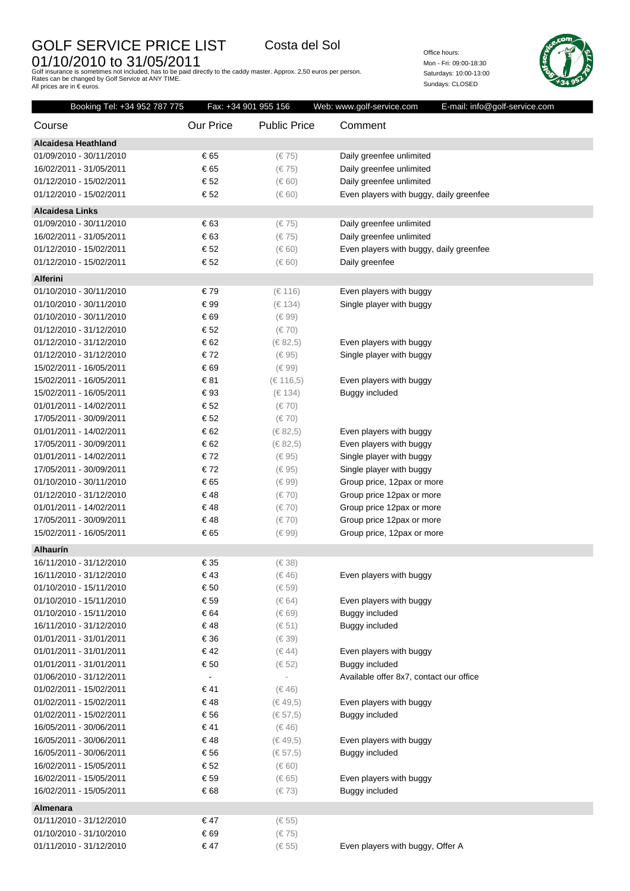## GOLF SERVICE PRICE LIST Costa del Sol

O1/10/2010 to 31/05/2011<br>Golf insurance is sometimes not included, has to be paid directly to the caddy master. Approx. 2,50 euros per person.<br>Rates can be changed by Golf Service at ANY TIME.<br>All prices are in € euros.

Office hours: Mon - Fri: 09:00-18:30 Saturdays: 10:00-13:00 Sundays: CLOSED



| Booking Tel: +34 952 787 775 | Fax: +34 901 955 156 |                     | Web: www.golf-service.com<br>E-mail: info@golf-service.com |
|------------------------------|----------------------|---------------------|------------------------------------------------------------|
| Course                       | Our Price            | <b>Public Price</b> | Comment                                                    |
| <b>Alcaidesa Heathland</b>   |                      |                     |                                                            |
| 01/09/2010 - 30/11/2010      | € 65                 | $(\in 75)$          | Daily greenfee unlimited                                   |
| 16/02/2011 - 31/05/2011      | € 65                 | $(\in 75)$          | Daily greenfee unlimited                                   |
| 01/12/2010 - 15/02/2011      | € 52                 | $(\in 60)$          | Daily greenfee unlimited                                   |
| 01/12/2010 - 15/02/2011      | € 52                 | $(\in 60)$          | Even players with buggy, daily greenfee                    |
| <b>Alcaidesa Links</b>       |                      |                     |                                                            |
| 01/09/2010 - 30/11/2010      | € 63                 | $(\in 75)$          | Daily greenfee unlimited                                   |
| 16/02/2011 - 31/05/2011      | € 63                 | $(\in 75)$          | Daily greenfee unlimited                                   |
| 01/12/2010 - 15/02/2011      | € 52                 | $(\in 60)$          | Even players with buggy, daily greenfee                    |
| 01/12/2010 - 15/02/2011      | € 52                 | $(\in 60)$          | Daily greenfee                                             |
| <b>Alferini</b>              |                      |                     |                                                            |
| 01/10/2010 - 30/11/2010      | €79                  | (€ 116)             | Even players with buggy                                    |
| 01/10/2010 - 30/11/2010      | € 99                 | (€ 134)             | Single player with buggy                                   |
| 01/10/2010 - 30/11/2010      | € 69                 | $(\in 99)$          |                                                            |
| 01/12/2010 - 31/12/2010      | € 52                 | $(\in 70)$          |                                                            |
| 01/12/2010 - 31/12/2010      | € 62                 | (€ 82,5)            | Even players with buggy                                    |
| 01/12/2010 - 31/12/2010      | €72                  | $(\in 95)$          | Single player with buggy                                   |
| 15/02/2011 - 16/05/2011      | € 69                 | $(\in 99)$          |                                                            |
| 15/02/2011 - 16/05/2011      | € 81                 | (€ 116,5)           | Even players with buggy                                    |
| 15/02/2011 - 16/05/2011      | €93                  | (€ 134)             | Buggy included                                             |
| 01/01/2011 - 14/02/2011      | € 52                 | $(\in 70)$          |                                                            |
| 17/05/2011 - 30/09/2011      | € 52                 | $(\in 70)$          |                                                            |
| 01/01/2011 - 14/02/2011      | € 62                 | $(\in 82, 5)$       | Even players with buggy                                    |
| 17/05/2011 - 30/09/2011      | € 62                 | $(\in 82, 5)$       | Even players with buggy                                    |
| 01/01/2011 - 14/02/2011      | €72                  | $(\in 95)$          | Single player with buggy                                   |
| 17/05/2011 - 30/09/2011      | €72                  | $(\in 95)$          | Single player with buggy                                   |
| 01/10/2010 - 30/11/2010      | € 65                 | $(\in 99)$          | Group price, 12pax or more                                 |
| 01/12/2010 - 31/12/2010      | €48                  | $(\in 70)$          | Group price 12pax or more                                  |
| 01/01/2011 - 14/02/2011      | € 48                 | $(\in 70)$          | Group price 12pax or more                                  |
| 17/05/2011 - 30/09/2011      | €48                  | $(\in 70)$          | Group price 12pax or more                                  |
| 15/02/2011 - 16/05/2011      | € 65                 | $(\in 99)$          | Group price, 12pax or more                                 |
| Alhaurín                     |                      |                     |                                                            |
| 16/11/2010 - 31/12/2010      | € 35                 | $(\in$ 38)          |                                                            |
| 16/11/2010 - 31/12/2010      | €43                  | $(\in 46)$          | Even players with buggy                                    |
| 01/10/2010 - 15/11/2010      | € 50                 | $(\in 59)$          |                                                            |
| 01/10/2010 - 15/11/2010      | € 59                 | $(\in 64)$          | Even players with buggy                                    |
| 01/10/2010 - 15/11/2010      | € 64                 | $(\in 69)$          | Buggy included                                             |
| 16/11/2010 - 31/12/2010      | €48                  | $(\in 51)$          | Buggy included                                             |
| 01/01/2011 - 31/01/2011      | € 36                 | $(\in$ 39)          |                                                            |
| 01/01/2011 - 31/01/2011      | €42                  | (6.44)              | Even players with buggy                                    |
| 01/01/2011 - 31/01/2011      | € 50                 | $(\in 52)$          | Buggy included                                             |
| 01/06/2010 - 31/12/2011      | $\blacksquare$       |                     | Available offer 8x7, contact our office                    |
| 01/02/2011 - 15/02/2011      | € 41                 | $(\in 46)$          |                                                            |
| 01/02/2011 - 15/02/2011      | €48                  | $(\in 49, 5)$       | Even players with buggy                                    |
| 01/02/2011 - 15/02/2011      | € 56                 | $(\in 57, 5)$       | <b>Buggy included</b>                                      |
| 16/05/2011 - 30/06/2011      | € 41                 | $(\in 46)$          |                                                            |
| 16/05/2011 - 30/06/2011      | €48                  | $(\in 49, 5)$       | Even players with buggy                                    |
| 16/05/2011 - 30/06/2011      | € 56                 | $(\in 57, 5)$       | Buggy included                                             |
| 16/02/2011 - 15/05/2011      | € 52                 | $(\in 60)$          |                                                            |
| 16/02/2011 - 15/05/2011      | € 59                 | $(\in 65)$          | Even players with buggy                                    |
| 16/02/2011 - 15/05/2011      | € 68                 | $(\in 73)$          | Buggy included                                             |
| Almenara                     |                      |                     |                                                            |
| 01/11/2010 - 31/12/2010      | € 47                 | $(\in 55)$          |                                                            |
| 01/10/2010 - 31/10/2010      | € 69                 | $(\in 75)$          |                                                            |
| 01/11/2010 - 31/12/2010      | € 47                 | $(\in 55)$          | Even players with buggy, Offer A                           |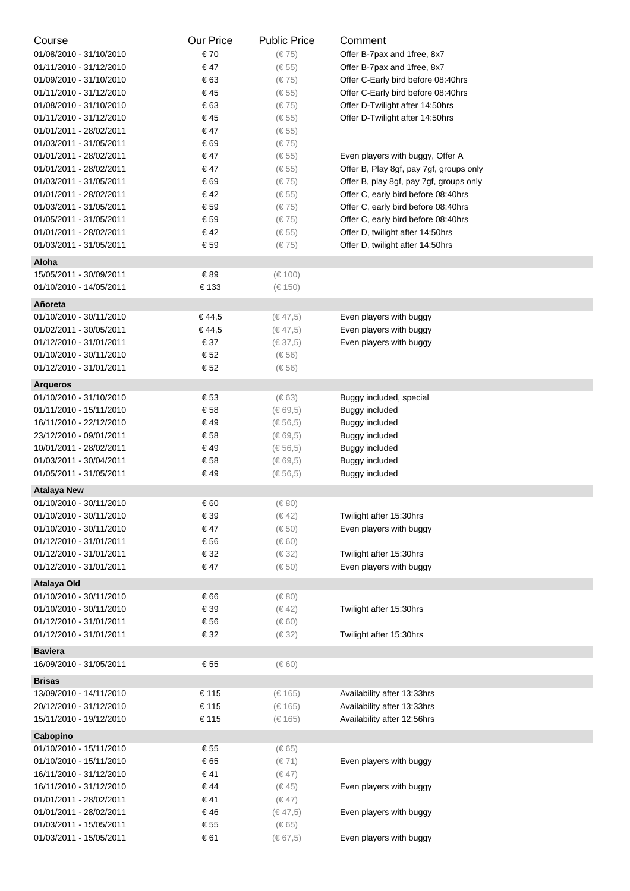| Course                                             | Our Price   | <b>Public Price</b>         | Comment                                 |
|----------------------------------------------------|-------------|-----------------------------|-----------------------------------------|
| 01/08/2010 - 31/10/2010                            | € 70        | $(\in 75)$                  | Offer B-7pax and 1free, 8x7             |
| 01/11/2010 - 31/12/2010                            | € 47        | $(\in 55)$                  | Offer B-7pax and 1free, 8x7             |
| 01/09/2010 - 31/10/2010                            | € 63        | (€75)                       | Offer C-Early bird before 08:40hrs      |
| 01/11/2010 - 31/12/2010                            | € 45        | $(\in 55)$                  | Offer C-Early bird before 08:40hrs      |
| 01/08/2010 - 31/10/2010                            | € 63        | (€75)                       | Offer D-Twilight after 14:50hrs         |
| 01/11/2010 - 31/12/2010                            | €45         | $(\in 55)$                  | Offer D-Twilight after 14:50hrs         |
| 01/01/2011 - 28/02/2011                            | € 47        | $(\in 55)$                  |                                         |
| 01/03/2011 - 31/05/2011                            | € 69        | $(\in 75)$                  |                                         |
| 01/01/2011 - 28/02/2011                            | € 47        | $(\in 55)$                  | Even players with buggy, Offer A        |
| 01/01/2011 - 28/02/2011                            | € 47        | $(\in 55)$                  | Offer B, Play 8gf, pay 7gf, groups only |
| 01/03/2011 - 31/05/2011                            | € 69        | $(\in 75)$                  | Offer B, play 8gf, pay 7gf, groups only |
| 01/01/2011 - 28/02/2011                            | €42         | $(\in 55)$                  | Offer C, early bird before 08:40hrs     |
| 01/03/2011 - 31/05/2011                            | € 59        | (€75)                       | Offer C, early bird before 08:40hrs     |
| 01/05/2011 - 31/05/2011                            | € 59        | (€75)                       | Offer C, early bird before 08:40hrs     |
| 01/01/2011 - 28/02/2011                            | € 42        | $(\in 55)$                  | Offer D, twilight after 14:50hrs        |
| 01/03/2011 - 31/05/2011                            | € 59        | (€75)                       | Offer D, twilight after 14:50hrs        |
|                                                    |             |                             |                                         |
| Aloha                                              |             |                             |                                         |
| 15/05/2011 - 30/09/2011                            | €89         | (€ 100)                     |                                         |
| 01/10/2010 - 14/05/2011                            | € 133       | (€ 150)                     |                                         |
| Añoreta                                            |             |                             |                                         |
| 01/10/2010 - 30/11/2010                            | € 44,5      | $(\in 47, 5)$               | Even players with buggy                 |
| 01/02/2011 - 30/05/2011                            | € 44,5      | $(\in 47, 5)$               | Even players with buggy                 |
| 01/12/2010 - 31/01/2011                            | € 37        | $(\in 37, 5)$               | Even players with buggy                 |
| 01/10/2010 - 30/11/2010                            | € 52        | $(\in 56)$                  |                                         |
| 01/12/2010 - 31/01/2011                            | € 52        | $(\in 56)$                  |                                         |
| <b>Arqueros</b>                                    |             |                             |                                         |
| 01/10/2010 - 31/10/2010                            | € 53        | $(\in 63)$                  | Buggy included, special                 |
| 01/11/2010 - 15/11/2010                            | € 58        | (€ 69,5)                    | Buggy included                          |
| 16/11/2010 - 22/12/2010                            | €49         | $(\in 56, 5)$               | Buggy included                          |
| 23/12/2010 - 09/01/2011                            | € 58        | $(\in 69, 5)$               | Buggy included                          |
| 10/01/2011 - 28/02/2011                            | €49         | $(\in 56, 5)$               | <b>Buggy included</b>                   |
| 01/03/2011 - 30/04/2011                            | € 58        | $(\in 69, 5)$               | Buggy included                          |
| 01/05/2011 - 31/05/2011                            | €49         | $(\in 56, 5)$               | Buggy included                          |
| <b>Atalaya New</b>                                 |             |                             |                                         |
| 01/10/2010 - 30/11/2010                            | € 60        | $(\in 80)$                  |                                         |
| 01/10/2010 - 30/11/2010                            | € 39        | $(\in 42)$                  | Twilight after 15:30hrs                 |
| 01/10/2010 - 30/11/2010                            | € 47        | $(\in 50)$                  | Even players with buggy                 |
| 01/12/2010 - 31/01/2011                            | € 56        | $(\in 60)$                  |                                         |
| 01/12/2010 - 31/01/2011                            | € 32        | $(\in$ 32)                  | Twilight after 15:30hrs                 |
| 01/12/2010 - 31/01/2011                            | € 47        | $(\in 50)$                  | Even players with buggy                 |
|                                                    |             |                             |                                         |
| Atalaya Old                                        |             |                             |                                         |
| 01/10/2010 - 30/11/2010                            | € 66        | $(\in 80)$                  |                                         |
| 01/10/2010 - 30/11/2010                            | € 39        | $(\in 42)$                  | Twilight after 15:30hrs                 |
| 01/12/2010 - 31/01/2011                            | € 56        | $(\in 60)$                  |                                         |
| 01/12/2010 - 31/01/2011                            | € 32        | $(\in$ 32)                  | Twilight after 15:30hrs                 |
| <b>Baviera</b>                                     |             |                             |                                         |
| 16/09/2010 - 31/05/2011                            | € 55        | $(\in 60)$                  |                                         |
| <b>Brisas</b>                                      |             |                             |                                         |
| 13/09/2010 - 14/11/2010                            | € 115       | (€ 165)                     | Availability after 13:33hrs             |
| 20/12/2010 - 31/12/2010                            | € 115       | (€ 165)                     | Availability after 13:33hrs             |
| 15/11/2010 - 19/12/2010                            | € 115       | (€ 165)                     | Availability after 12:56hrs             |
|                                                    |             |                             |                                         |
| Cabopino                                           | € 55        |                             |                                         |
| 01/10/2010 - 15/11/2010                            | € 65        | $(\in 65)$                  |                                         |
| 01/10/2010 - 15/11/2010<br>16/11/2010 - 31/12/2010 | €41         | $(\in 71)$<br>$(\in 47)$    | Even players with buggy                 |
|                                                    | €44         |                             |                                         |
| 16/11/2010 - 31/12/2010                            |             | $(\in 45)$                  | Even players with buggy                 |
| 01/01/2011 - 28/02/2011<br>01/01/2011 - 28/02/2011 | € 41<br>€46 | $(\in 47)$<br>$(\in 47, 5)$ | Even players with buggy                 |
| 01/03/2011 - 15/05/2011                            | € 55        | $(\in 65)$                  |                                         |
| 01/03/2011 - 15/05/2011                            | € 61        | (€ 67,5)                    | Even players with buggy                 |
|                                                    |             |                             |                                         |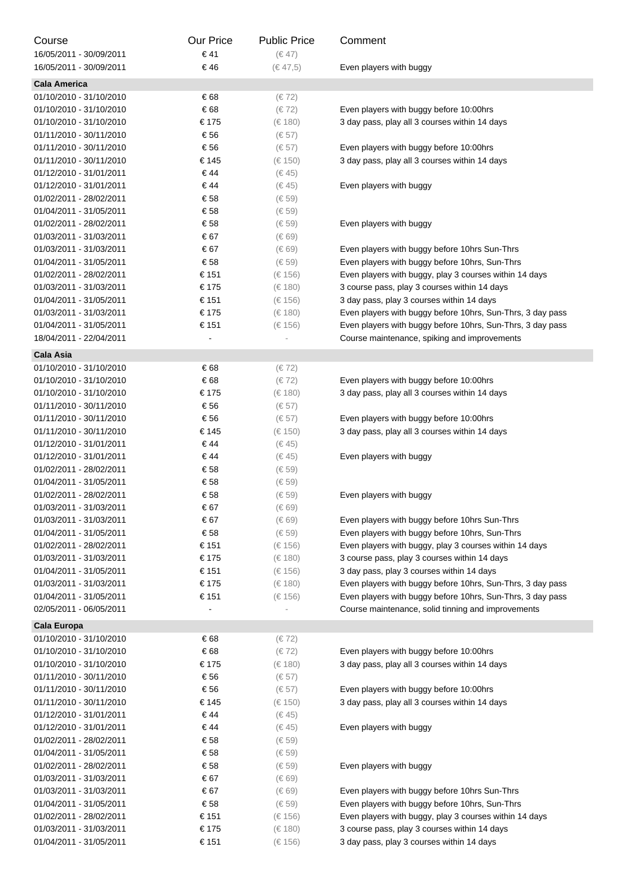| Course                  | <b>Our Price</b> | <b>Public Price</b> | Comment                                                    |
|-------------------------|------------------|---------------------|------------------------------------------------------------|
| 16/05/2011 - 30/09/2011 | € 41             | $(\in 47)$          |                                                            |
| 16/05/2011 - 30/09/2011 | € 46             | $(\in 47, 5)$       | Even players with buggy                                    |
| <b>Cala America</b>     |                  |                     |                                                            |
| 01/10/2010 - 31/10/2010 | € 68             | $(\in 72)$          |                                                            |
| 01/10/2010 - 31/10/2010 | € 68             | $(\in 72)$          | Even players with buggy before 10:00hrs                    |
| 01/10/2010 - 31/10/2010 | € 175            | (€ 180)             | 3 day pass, play all 3 courses within 14 days              |
| 01/11/2010 - 30/11/2010 | € 56             | $(\in 57)$          |                                                            |
| 01/11/2010 - 30/11/2010 | € 56             | $(\in 57)$          | Even players with buggy before 10:00hrs                    |
| 01/11/2010 - 30/11/2010 | € 145            | (€ 150)             | 3 day pass, play all 3 courses within 14 days              |
| 01/12/2010 - 31/01/2011 | €44              | (6.45)              |                                                            |
| 01/12/2010 - 31/01/2011 | € 44             | (6.45)              | Even players with buggy                                    |
| 01/02/2011 - 28/02/2011 | € 58             | $(\in 59)$          |                                                            |
| 01/04/2011 - 31/05/2011 | € 58             | $(\in 59)$          |                                                            |
| 01/02/2011 - 28/02/2011 | € 58             | $(\in 59)$          | Even players with buggy                                    |
| 01/03/2011 - 31/03/2011 | € 67             | $(\in 69)$          |                                                            |
| 01/03/2011 - 31/03/2011 | € 67             | $(\in 69)$          | Even players with buggy before 10hrs Sun-Thrs              |
| 01/04/2011 - 31/05/2011 | € 58             | $(\in 59)$          | Even players with buggy before 10hrs, Sun-Thrs             |
| 01/02/2011 - 28/02/2011 | € 151            | (€ 156)             | Even players with buggy, play 3 courses within 14 days     |
| 01/03/2011 - 31/03/2011 | € 175            | (€ 180)             | 3 course pass, play 3 courses within 14 days               |
| 01/04/2011 - 31/05/2011 | € 151            | (€ 156)             | 3 day pass, play 3 courses within 14 days                  |
| 01/03/2011 - 31/03/2011 | € 175            | (€ 180)             | Even players with buggy before 10hrs, Sun-Thrs, 3 day pass |
| 01/04/2011 - 31/05/2011 | € 151            | $(\in 156)$         | Even players with buggy before 10hrs, Sun-Thrs, 3 day pass |
| 18/04/2011 - 22/04/2011 |                  |                     | Course maintenance, spiking and improvements               |
| Cala Asia               |                  |                     |                                                            |
| 01/10/2010 - 31/10/2010 | € 68             | $(\in 72)$          |                                                            |
| 01/10/2010 - 31/10/2010 | € 68             | $(\in 72)$          | Even players with buggy before 10:00hrs                    |
| 01/10/2010 - 31/10/2010 | € 175            | (€ 180)             | 3 day pass, play all 3 courses within 14 days              |
| 01/11/2010 - 30/11/2010 | € 56             | $(\in 57)$          |                                                            |
| 01/11/2010 - 30/11/2010 | € 56             | $(\in 57)$          | Even players with buggy before 10:00hrs                    |
| 01/11/2010 - 30/11/2010 | € 145            | (€ 150)             | 3 day pass, play all 3 courses within 14 days              |
| 01/12/2010 - 31/01/2011 | € 44             | (€ 45)              |                                                            |
| 01/12/2010 - 31/01/2011 | € 44             | (6.45)              | Even players with buggy                                    |
| 01/02/2011 - 28/02/2011 | € 58             | $(\in 59)$          |                                                            |
| 01/04/2011 - 31/05/2011 | € 58             | $(\in 59)$          |                                                            |
| 01/02/2011 - 28/02/2011 | € 58             | $(\in 59)$          | Even players with buggy                                    |
| 01/03/2011 - 31/03/2011 | € 67             | $(\in 69)$          |                                                            |
| 01/03/2011 - 31/03/2011 | € 67             | $(\in 69)$          | Even players with buggy before 10hrs Sun-Thrs              |
| 01/04/2011 - 31/05/2011 | € 58             | $(\in 59)$          | Even players with buggy before 10hrs, Sun-Thrs             |
| 01/02/2011 - 28/02/2011 | € 151            | (€ 156)             | Even players with buggy, play 3 courses within 14 days     |
| 01/03/2011 - 31/03/2011 | € 175            | (€ 180)             | 3 course pass, play 3 courses within 14 days               |
| 01/04/2011 - 31/05/2011 | € 151            | (€ 156)             | 3 day pass, play 3 courses within 14 days                  |
| 01/03/2011 - 31/03/2011 | € 175            | $(\in 180)$         | Even players with buggy before 10hrs, Sun-Thrs, 3 day pass |
| 01/04/2011 - 31/05/2011 | € 151            | (€ 156)             | Even players with buggy before 10hrs, Sun-Thrs, 3 day pass |
| 02/05/2011 - 06/05/2011 |                  |                     | Course maintenance, solid tinning and improvements         |
| Cala Europa             |                  |                     |                                                            |
| 01/10/2010 - 31/10/2010 | € 68             | $(\in 72)$          |                                                            |
| 01/10/2010 - 31/10/2010 | € 68             | $(\in 72)$          | Even players with buggy before 10:00hrs                    |
| 01/10/2010 - 31/10/2010 | € 175            | (€ 180)             | 3 day pass, play all 3 courses within 14 days              |
| 01/11/2010 - 30/11/2010 | € 56             | $(\in 57)$          |                                                            |
| 01/11/2010 - 30/11/2010 | € 56             | $(\in 57)$          | Even players with buggy before 10:00hrs                    |
| 01/11/2010 - 30/11/2010 | € 145            | (€ 150)             | 3 day pass, play all 3 courses within 14 days              |
| 01/12/2010 - 31/01/2011 | € 44             | $(\in 45)$          |                                                            |
| 01/12/2010 - 31/01/2011 | € 44             | $(\in 45)$          | Even players with buggy                                    |
| 01/02/2011 - 28/02/2011 | € 58             | $(\in 59)$          |                                                            |
| 01/04/2011 - 31/05/2011 | € 58             | $(\in 59)$          |                                                            |
| 01/02/2011 - 28/02/2011 | € 58             | $(\in 59)$          | Even players with buggy                                    |
| 01/03/2011 - 31/03/2011 | € 67             | $(\in 69)$          |                                                            |
| 01/03/2011 - 31/03/2011 | € 67             | $(\in 69)$          | Even players with buggy before 10hrs Sun-Thrs              |
| 01/04/2011 - 31/05/2011 | € 58             | $(\in 59)$          | Even players with buggy before 10hrs, Sun-Thrs             |
| 01/02/2011 - 28/02/2011 | € 151            | (€ 156)             | Even players with buggy, play 3 courses within 14 days     |
| 01/03/2011 - 31/03/2011 | € 175            | (€ 180)             | 3 course pass, play 3 courses within 14 days               |
| 01/04/2011 - 31/05/2011 | € 151            | (€ 156)             | 3 day pass, play 3 courses within 14 days                  |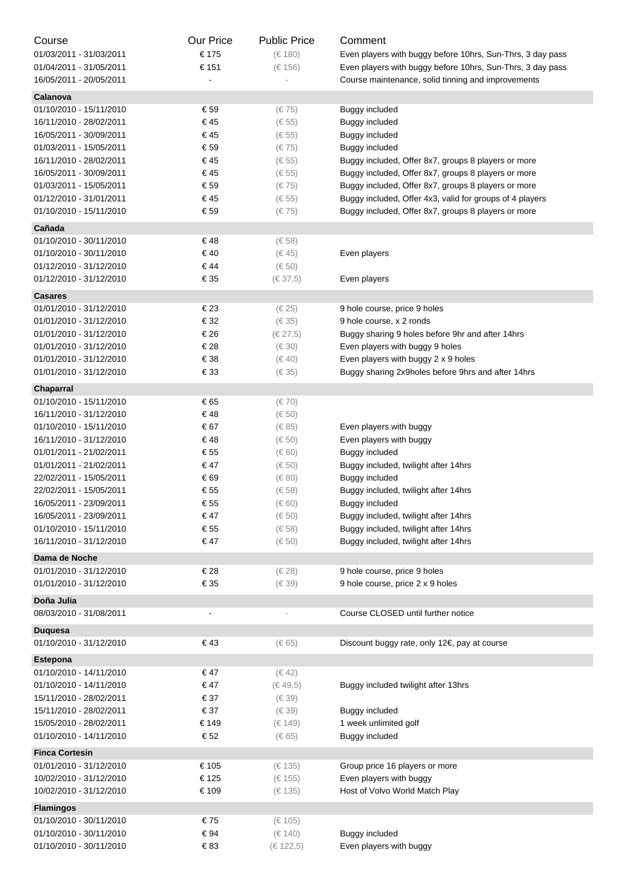| Course                                      | Our Price      | <b>Public Price</b> | Comment                                                    |
|---------------------------------------------|----------------|---------------------|------------------------------------------------------------|
| 01/03/2011 - 31/03/2011                     | € 175          | $(\in 180)$         | Even players with buggy before 10hrs, Sun-Thrs, 3 day pass |
| 01/04/2011 - 31/05/2011                     | € 151          | (€ 156)             | Even players with buggy before 10hrs, Sun-Thrs, 3 day pass |
| 16/05/2011 - 20/05/2011                     |                |                     | Course maintenance, solid tinning and improvements         |
| Calanova                                    |                |                     |                                                            |
| 01/10/2010 - 15/11/2010                     | € 59           | $(\in 75)$          | Buggy included                                             |
| 16/11/2010 - 28/02/2011                     | € 45           | $(\in 55)$          | Buggy included                                             |
| 16/05/2011 - 30/09/2011                     | € 45           | $(\in 55)$          | Buggy included                                             |
| 01/03/2011 - 15/05/2011                     | € 59           | $(\in 75)$          | Buggy included                                             |
| 16/11/2010 - 28/02/2011                     | € 45           | $(\in 55)$          | Buggy included, Offer 8x7, groups 8 players or more        |
| 16/05/2011 - 30/09/2011                     | € 45           | $(\in 55)$          | Buggy included, Offer 8x7, groups 8 players or more        |
| 01/03/2011 - 15/05/2011                     | € 59           | $(\in 75)$          | Buggy included, Offer 8x7, groups 8 players or more        |
| 01/12/2010 - 31/01/2011                     | € 45           | $(\in 55)$          | Buggy included, Offer 4x3, valid for groups of 4 players   |
| 01/10/2010 - 15/11/2010                     | € 59           | $(\in 75)$          | Buggy included, Offer 8x7, groups 8 players or more        |
|                                             |                |                     |                                                            |
| Cañada                                      |                |                     |                                                            |
| 01/10/2010 - 30/11/2010                     | €48            | $(\in 58)$          |                                                            |
| 01/10/2010 - 30/11/2010                     | € 40           | (€ 45)              | Even players                                               |
| 01/12/2010 - 31/12/2010                     | € 44           | $(\in 50)$          |                                                            |
| 01/12/2010 - 31/12/2010                     | € 35           | $(\in 37, 5)$       | Even players                                               |
| <b>Casares</b>                              |                |                     |                                                            |
| 01/01/2010 - 31/12/2010                     | € 23           | $(\in 25)$          | 9 hole course, price 9 holes                               |
| 01/01/2010 - 31/12/2010                     | € 32           | $(\in 35)$          | 9 hole course, x 2 ronds                                   |
| 01/01/2010 - 31/12/2010                     | € 26           | (€ 27,5)            | Buggy sharing 9 holes before 9hr and after 14hrs           |
| 01/01/2010 - 31/12/2010                     | € 28           | $(\in 30)$          | Even players with buggy 9 holes                            |
| 01/01/2010 - 31/12/2010                     | € 38           | $(\in 40)$          | Even players with buggy 2 x 9 holes                        |
| 01/01/2010 - 31/12/2010                     | € 33           | $(\in 35)$          | Buggy sharing 2x9holes before 9hrs and after 14hrs         |
| Chaparral                                   |                |                     |                                                            |
| 01/10/2010 - 15/11/2010                     | € 65           | $(\in 70)$          |                                                            |
| 16/11/2010 - 31/12/2010                     | €48            | $(\in 50)$          |                                                            |
| 01/10/2010 - 15/11/2010                     | € 67           | $(\in 85)$          | Even players with buggy                                    |
| 16/11/2010 - 31/12/2010                     | €48            | $(\in 50)$          | Even players with buggy                                    |
| 01/01/2011 - 21/02/2011                     | € 55           | $(\in 60)$          | Buggy included                                             |
| 01/01/2011 - 21/02/2011                     | € 47           | $(\in 50)$          | Buggy included, twilight after 14hrs                       |
| 22/02/2011 - 15/05/2011                     | € 69           | $(\in 80)$          | Buggy included                                             |
| 22/02/2011 - 15/05/2011                     | € 55           | (€ 58)              | Buggy included, twilight after 14hrs                       |
| 16/05/2011 - 23/09/2011                     | € 55           | (€ 60)              | Buggy included                                             |
| 16/05/2011 - 23/09/2011                     | € 47           | $(\in 50)$          | Buggy included, twilight after 14hrs                       |
| 01/10/2010 - 15/11/2010                     | € 55           | $(\in 58)$          | Buggy included, twilight after 14hrs                       |
| 16/11/2010 - 31/12/2010                     | € 47           | $(\in 50)$          | Buggy included, twilight after 14hrs                       |
| Dama de Noche                               |                |                     |                                                            |
| 01/01/2010 - 31/12/2010                     | € 28           | $(\in 28)$          | 9 hole course, price 9 holes                               |
| 01/01/2010 - 31/12/2010                     | € 35           | $(\in 39)$          | 9 hole course, price 2 x 9 holes                           |
|                                             |                |                     |                                                            |
| Doña Julia<br>08/03/2010 - 31/08/2011       | $\blacksquare$ | ÷,                  | Course CLOSED until further notice                         |
|                                             |                |                     |                                                            |
| <b>Duquesa</b>                              |                |                     |                                                            |
| 01/10/2010 - 31/12/2010                     | € 43           | $(\in 65)$          | Discount buggy rate, only 12€, pay at course               |
| <b>Estepona</b>                             |                |                     |                                                            |
| 01/10/2010 - 14/11/2010                     | € 47           | (€ 42)              |                                                            |
| 01/10/2010 - 14/11/2010                     | € 47           | $(\in 49, 5)$       | Buggy included twilight after 13hrs                        |
| 15/11/2010 - 28/02/2011                     | € 37           | $(\in 39)$          |                                                            |
| 15/11/2010 - 28/02/2011                     | € 37           | $(\in 39)$          | Buggy included                                             |
| 15/05/2010 - 28/02/2011                     | € 149          | (€ 149)             | 1 week unlimited golf                                      |
| 01/10/2010 - 14/11/2010                     | € 52           | $(\in 65)$          | Buggy included                                             |
| <b>Finca Cortesin</b>                       |                |                     |                                                            |
| 01/01/2010 - 31/12/2010                     | € 105          | (€ 135)             | Group price 16 players or more                             |
| 10/02/2010 - 31/12/2010                     | € 125          | (€ 155)             | Even players with buggy                                    |
| 10/02/2010 - 31/12/2010                     | € 109          | (€ 135)             | Host of Volvo World Match Play                             |
|                                             |                |                     |                                                            |
| <b>Flamingos</b><br>01/10/2010 - 30/11/2010 | €75            | (€ 105)             |                                                            |
| 01/10/2010 - 30/11/2010                     | € 94           | (€ 140)             | Buggy included                                             |
| 01/10/2010 - 30/11/2010                     | € 83           | (€ 122,5)           | Even players with buggy                                    |
|                                             |                |                     |                                                            |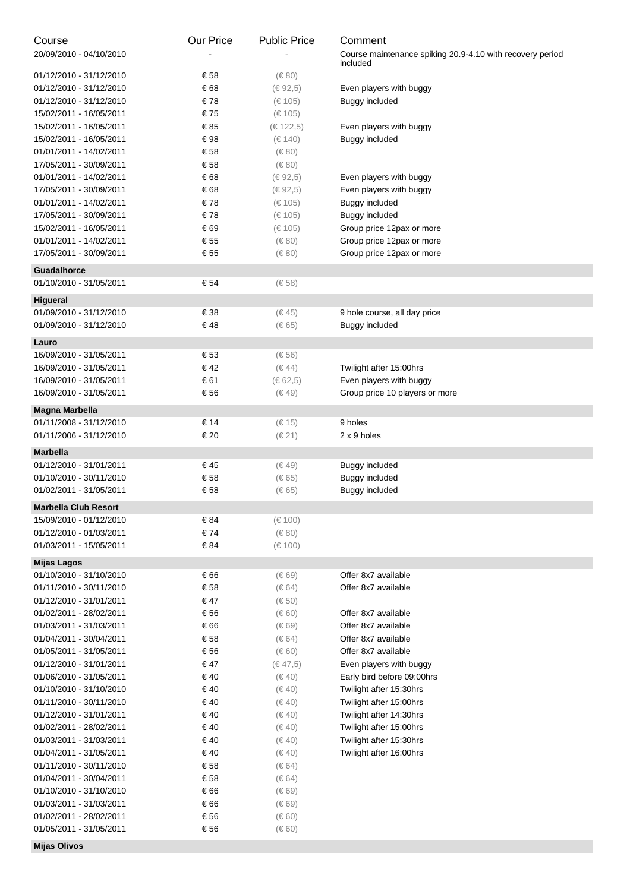| Course                                             | <b>Our Price</b> | <b>Public Price</b>      | Comment                                                   |
|----------------------------------------------------|------------------|--------------------------|-----------------------------------------------------------|
| 20/09/2010 - 04/10/2010                            |                  |                          | Course maintenance spiking 20.9-4.10 with recovery period |
| 01/12/2010 - 31/12/2010                            | € 58             | $(\in 80)$               | included                                                  |
| 01/12/2010 - 31/12/2010                            | € 68             | (€ 92,5)                 | Even players with buggy                                   |
| 01/12/2010 - 31/12/2010                            | €78              | (€ 105)                  | Buggy included                                            |
| 15/02/2011 - 16/05/2011                            | €75              | (€ 105)                  |                                                           |
| 15/02/2011 - 16/05/2011                            | € 85             | (€ 122,5)                | Even players with buggy                                   |
| 15/02/2011 - 16/05/2011                            | € 98             | (€ 140)                  | Buggy included                                            |
| 01/01/2011 - 14/02/2011                            | € 58             | $(\in 80)$               |                                                           |
| 17/05/2011 - 30/09/2011                            | € 58             | $(\in 80)$               |                                                           |
| 01/01/2011 - 14/02/2011                            | € 68             | (€ 92,5)                 | Even players with buggy                                   |
| 17/05/2011 - 30/09/2011                            | € 68             | (€ 92,5)                 | Even players with buggy                                   |
| 01/01/2011 - 14/02/2011                            | €78              | (€ 105)                  | Buggy included                                            |
| 17/05/2011 - 30/09/2011                            | €78              | (€ 105)                  | Buggy included                                            |
| 15/02/2011 - 16/05/2011                            | € 69             | (€ 105)                  | Group price 12pax or more                                 |
| 01/01/2011 - 14/02/2011                            | € 55             | $(\in 80)$               | Group price 12pax or more                                 |
| 17/05/2011 - 30/09/2011                            | € 55             | $(\in 80)$               | Group price 12pax or more                                 |
| <b>Guadalhorce</b>                                 |                  |                          |                                                           |
| 01/10/2010 - 31/05/2011                            | € 54             | $(\in 58)$               |                                                           |
| Higueral                                           |                  |                          |                                                           |
| 01/09/2010 - 31/12/2010                            | € 38             | $(\in 45)$               | 9 hole course, all day price                              |
| 01/09/2010 - 31/12/2010                            | €48              | $(\in 65)$               | <b>Buggy included</b>                                     |
| Lauro                                              |                  |                          |                                                           |
| 16/09/2010 - 31/05/2011                            | € 53             | $(\in 56)$               |                                                           |
| 16/09/2010 - 31/05/2011                            | € 42             | $(\in 44)$               | Twilight after 15:00hrs                                   |
| 16/09/2010 - 31/05/2011                            | € 61             | (€ 62,5)                 | Even players with buggy                                   |
| 16/09/2010 - 31/05/2011                            | € 56             | $(\in 49)$               | Group price 10 players or more                            |
| Magna Marbella                                     |                  |                          |                                                           |
| 01/11/2008 - 31/12/2010                            | € 14             | (€ 15)                   | 9 holes                                                   |
| 01/11/2006 - 31/12/2010                            | € 20             | $(\in 21)$               | 2 x 9 holes                                               |
| <b>Marbella</b>                                    |                  |                          |                                                           |
| 01/12/2010 - 31/01/2011                            | € 45             | $(\in 49)$               | Buggy included                                            |
| 01/10/2010 - 30/11/2010                            | € 58             | $(\in 65)$               | <b>Buggy included</b>                                     |
| 01/02/2011 - 31/05/2011                            | € 58             | (€ 65)                   | Buggy included                                            |
| <b>Marbella Club Resort</b>                        |                  |                          |                                                           |
| 15/09/2010 - 01/12/2010                            | € 84             | (€ 100)                  |                                                           |
| 01/12/2010 - 01/03/2011                            | € 74             | $(\in 80)$               |                                                           |
| 01/03/2011 - 15/05/2011                            | € 84             | $(\in 100)$              |                                                           |
| <b>Mijas Lagos</b>                                 |                  |                          |                                                           |
| 01/10/2010 - 31/10/2010                            | € 66             | $(\in 69)$               | Offer 8x7 available                                       |
| 01/11/2010 - 30/11/2010                            | € 58             | $(\in 64)$               | Offer 8x7 available                                       |
| 01/12/2010 - 31/01/2011                            | $\in$ 47         | $(\in 50)$               |                                                           |
| 01/02/2011 - 28/02/2011<br>01/03/2011 - 31/03/2011 | € 56<br>€ 66     | $(\in 60)$<br>$(\in 69)$ | Offer 8x7 available<br>Offer 8x7 available                |
| 01/04/2011 - 30/04/2011                            | € 58             | $(\in 64)$               | Offer 8x7 available                                       |
| 01/05/2011 - 31/05/2011                            | € 56             | $(\in 60)$               | Offer 8x7 available                                       |
| 01/12/2010 - 31/01/2011                            | $\in$ 47         | (€ 47,5)                 | Even players with buggy                                   |
| 01/06/2010 - 31/05/2011                            | € 40             | $(\in 40)$               | Early bird before 09:00hrs                                |
| 01/10/2010 - 31/10/2010                            | € 40             | $(\in 40)$               | Twilight after 15:30hrs                                   |
| 01/11/2010 - 30/11/2010                            | € 40             | $(\in 40)$               | Twilight after 15:00hrs                                   |
| 01/12/2010 - 31/01/2011                            | € 40             | $(\in 40)$               | Twilight after 14:30hrs                                   |
| 01/02/2011 - 28/02/2011                            | $\in$ 40         | $(\in 40)$               | Twilight after 15:00hrs                                   |
| 01/03/2011 - 31/03/2011                            | $\in$ 40         | $(\in 40)$               | Twilight after 15:30hrs                                   |
| 01/04/2011 - 31/05/2011                            | $\in$ 40         | $(\in 40)$               | Twilight after 16:00hrs                                   |
| 01/11/2010 - 30/11/2010                            | € 58             | $(\in 64)$               |                                                           |
| 01/04/2011 - 30/04/2011                            | € 58             | $(\in 64)$               |                                                           |
| 01/10/2010 - 31/10/2010                            | € 66             | $(\in 69)$               |                                                           |
| 01/03/2011 - 31/03/2011                            | € 66             | $(\in 69)$               |                                                           |
| 01/02/2011 - 28/02/2011                            | € 56             | $(\in 60)$               |                                                           |
| 01/05/2011 - 31/05/2011                            | € 56             | $(\in 60)$               |                                                           |
| <b>Mijas Olivos</b>                                |                  |                          |                                                           |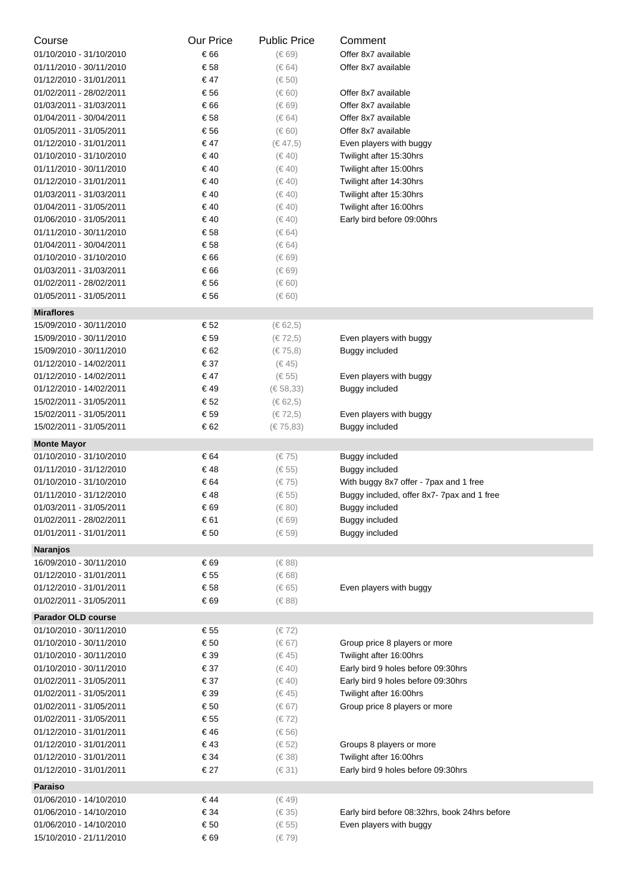| Course                                             | Our Price    | <b>Public Price</b>       | Comment                                             |
|----------------------------------------------------|--------------|---------------------------|-----------------------------------------------------|
| 01/10/2010 - 31/10/2010                            | € 66         | $(\in 69)$                | Offer 8x7 available                                 |
| 01/11/2010 - 30/11/2010                            | € 58         | $(\in 64)$                | Offer 8x7 available                                 |
| 01/12/2010 - 31/01/2011                            | € 47         | $(\in 50)$                |                                                     |
| 01/02/2011 - 28/02/2011                            | € 56         | $(\in 60)$                | Offer 8x7 available                                 |
| 01/03/2011 - 31/03/2011                            | € 66         | $(\in 69)$                | Offer 8x7 available                                 |
| 01/04/2011 - 30/04/2011                            | € 58         | $(\in 64)$                | Offer 8x7 available                                 |
| 01/05/2011 - 31/05/2011                            | € 56         | $(\in 60)$                | Offer 8x7 available                                 |
| 01/12/2010 - 31/01/2011                            | € 47         | (€ 47,5)                  | Even players with buggy                             |
| 01/10/2010 - 31/10/2010                            | € 40         | $(\in 40)$                | Twilight after 15:30hrs                             |
| 01/11/2010 - 30/11/2010                            | € 40         | $(\in 40)$                | Twilight after 15:00hrs                             |
| 01/12/2010 - 31/01/2011                            | € 40         | $(\in 40)$                | Twilight after 14:30hrs                             |
| 01/03/2011 - 31/03/2011                            | € 40         | $(\in 40)$                | Twilight after 15:30hrs                             |
| 01/04/2011 - 31/05/2011                            | € 40         | $(\in 40)$                | Twilight after 16:00hrs                             |
| 01/06/2010 - 31/05/2011                            | € 40<br>€ 58 | $(\in 40)$                | Early bird before 09:00hrs                          |
| 01/11/2010 - 30/11/2010<br>01/04/2011 - 30/04/2011 | € 58         | $(\in 64)$<br>$(\in 64)$  |                                                     |
| 01/10/2010 - 31/10/2010                            | € 66         | $(\in 69)$                |                                                     |
| 01/03/2011 - 31/03/2011                            | € 66         | $(\in 69)$                |                                                     |
| 01/02/2011 - 28/02/2011                            | € 56         | $(\in 60)$                |                                                     |
| 01/05/2011 - 31/05/2011                            | € 56         | $(\in 60)$                |                                                     |
|                                                    |              |                           |                                                     |
| <b>Miraflores</b><br>15/09/2010 - 30/11/2010       | € 52         |                           |                                                     |
| 15/09/2010 - 30/11/2010                            | € 59         | (€ 62,5)<br>$(\in 72, 5)$ | Even players with buggy                             |
| 15/09/2010 - 30/11/2010                            | € 62         | (€ 75,8)                  | Buggy included                                      |
| 01/12/2010 - 14/02/2011                            | € 37         | (€ 45)                    |                                                     |
| 01/12/2010 - 14/02/2011                            | € 47         | $(\in 55)$                | Even players with buggy                             |
| 01/12/2010 - 14/02/2011                            | € 49         | (€ 58,33)                 | Buggy included                                      |
| 15/02/2011 - 31/05/2011                            | € 52         | (€ 62,5)                  |                                                     |
| 15/02/2011 - 31/05/2011                            | € 59         | $(\in 72, 5)$             | Even players with buggy                             |
| 15/02/2011 - 31/05/2011                            | € 62         | (€75,83)                  | Buggy included                                      |
| <b>Monte Mayor</b>                                 |              |                           |                                                     |
| 01/10/2010 - 31/10/2010                            | € 64         | (€75)                     | Buggy included                                      |
| 01/11/2010 - 31/12/2010                            | €48          | $(\in 55)$                | Buggy included                                      |
| 01/10/2010 - 31/10/2010                            | € 64         | $(\in 75)$                | With buggy 8x7 offer - 7pax and 1 free              |
| 01/11/2010 - 31/12/2010                            | € 48         | $(\in 55)$                | Buggy included, offer 8x7-7pax and 1 free           |
| 01/03/2011 - 31/05/2011                            | $\in$ 69     | $(\in 80)$                | Buggy included                                      |
| 01/02/2011 - 28/02/2011                            | € 61         | $(\in 69)$                | Buggy included                                      |
| 01/01/2011 - 31/01/2011                            | € 50         | $(\in 59)$                | Buggy included                                      |
| <b>Naranjos</b>                                    |              |                           |                                                     |
| 16/09/2010 - 30/11/2010                            | € 69         | $(\in 88)$                |                                                     |
| 01/12/2010 - 31/01/2011                            | € 55         | $(\in 68)$                |                                                     |
| 01/12/2010 - 31/01/2011                            | € 58         | $(\in 65)$                | Even players with buggy                             |
| 01/02/2011 - 31/05/2011                            | € 69         | $(\in 88)$                |                                                     |
| <b>Parador OLD course</b>                          |              |                           |                                                     |
| 01/10/2010 - 30/11/2010                            | € 55         | $(\in 72)$                |                                                     |
| 01/10/2010 - 30/11/2010                            | € 50         | $(\in 67)$                | Group price 8 players or more                       |
| 01/10/2010 - 30/11/2010                            | € 39         | (6.45)                    | Twilight after 16:00hrs                             |
| 01/10/2010 - 30/11/2010                            | € 37         | $(\in 40)$                | Early bird 9 holes before 09:30hrs                  |
| 01/02/2011 - 31/05/2011                            | € 37         | $(\in 40)$                | Early bird 9 holes before 09:30hrs                  |
| 01/02/2011 - 31/05/2011                            | € 39         | (6.45)                    | Twilight after 16:00hrs                             |
| 01/02/2011 - 31/05/2011                            | € 50         | $(\in 67)$                | Group price 8 players or more                       |
| 01/02/2011 - 31/05/2011                            | € 55         | $(\in 72)$                |                                                     |
| 01/12/2010 - 31/01/2011                            | €46<br>€43   | $(\in 56)$                |                                                     |
| 01/12/2010 - 31/01/2011<br>01/12/2010 - 31/01/2011 | € 34         | $(\in 52)$<br>$(\in$ 38)  | Groups 8 players or more<br>Twilight after 16:00hrs |
| 01/12/2010 - 31/01/2011                            | € 27         | $(\in$ 31)                | Early bird 9 holes before 09:30hrs                  |
|                                                    |              |                           |                                                     |
| Paraiso                                            |              |                           |                                                     |
| 01/06/2010 - 14/10/2010<br>01/06/2010 - 14/10/2010 | €44<br>€ 34  | $(\in 49)$<br>$(\in 35)$  | Early bird before 08:32hrs, book 24hrs before       |
| 01/06/2010 - 14/10/2010                            | € 50         | $(\in 55)$                | Even players with buggy                             |
| 15/10/2010 - 21/11/2010                            | € 69         | $(\in 79)$                |                                                     |
|                                                    |              |                           |                                                     |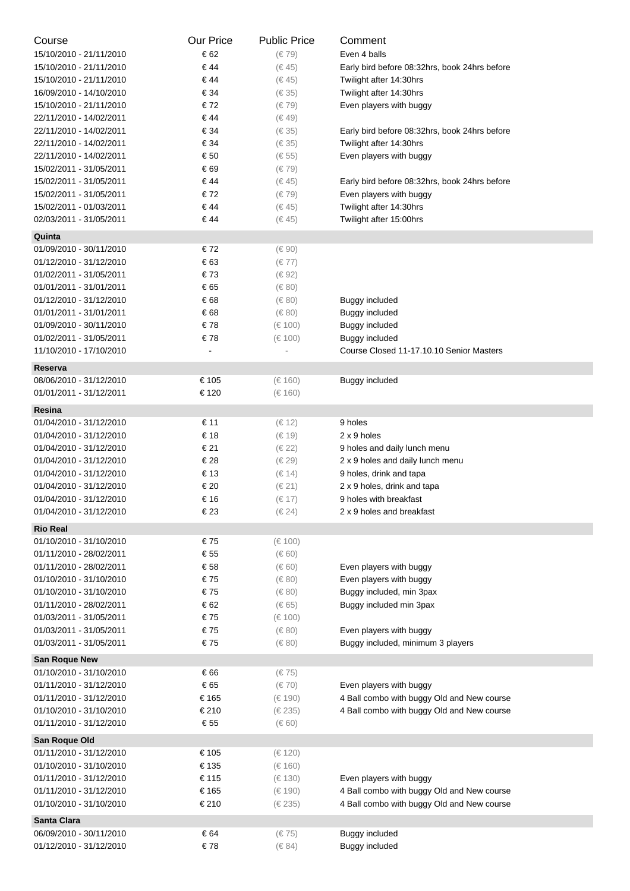| Course                                   | <b>Our Price</b> | <b>Public Price</b> | Comment                                       |
|------------------------------------------|------------------|---------------------|-----------------------------------------------|
| 15/10/2010 - 21/11/2010                  | € 62             | $(\in 79)$          | Even 4 balls                                  |
| 15/10/2010 - 21/11/2010                  | € 44             | (6.45)              | Early bird before 08:32hrs, book 24hrs before |
| 15/10/2010 - 21/11/2010                  | € 44             | $(\in 45)$          | Twilight after 14:30hrs                       |
| 16/09/2010 - 14/10/2010                  | € 34             | $(\in$ 35)          | Twilight after 14:30hrs                       |
| 15/10/2010 - 21/11/2010                  | €72              | $(\in 79)$          | Even players with buggy                       |
| 22/11/2010 - 14/02/2011                  | € 44             | $(\in 49)$          |                                               |
| 22/11/2010 - 14/02/2011                  | € 34             | $(\in$ 35)          | Early bird before 08:32hrs, book 24hrs before |
| 22/11/2010 - 14/02/2011                  | € 34             | $(\in$ 35)          | Twilight after 14:30hrs                       |
| 22/11/2010 - 14/02/2011                  | € 50             | $(\in 55)$          | Even players with buggy                       |
| 15/02/2011 - 31/05/2011                  | € 69             | $(\in 79)$          |                                               |
| 15/02/2011 - 31/05/2011                  | € 44             | $(\in 45)$          | Early bird before 08:32hrs, book 24hrs before |
| 15/02/2011 - 31/05/2011                  | €72              | $(\in 79)$          | Even players with buggy                       |
| 15/02/2011 - 01/03/2011                  | € 44             | $(\in 45)$          | Twilight after 14:30hrs                       |
| 02/03/2011 - 31/05/2011                  | € 44             | (6.45)              | Twilight after 15:00hrs                       |
| Quinta                                   |                  |                     |                                               |
| 01/09/2010 - 30/11/2010                  | €72              | $(\in 90)$          |                                               |
| 01/12/2010 - 31/12/2010                  | € 63             | $(\in 77)$          |                                               |
| 01/02/2011 - 31/05/2011                  | €73              | (€ 92)              |                                               |
| 01/01/2011 - 31/01/2011                  | € 65             | $(\in 80)$          |                                               |
| 01/12/2010 - 31/12/2010                  | € 68             | $(\in 80)$          | Buggy included                                |
|                                          | € 68             |                     |                                               |
| 01/01/2011 - 31/01/2011                  |                  | $(\in 80)$          | Buggy included                                |
| 01/09/2010 - 30/11/2010                  | €78              | (€ 100)             | Buggy included                                |
| 01/02/2011 - 31/05/2011                  | €78              | (€ 100)             | Buggy included                                |
| 11/10/2010 - 17/10/2010                  |                  |                     | Course Closed 11-17.10.10 Senior Masters      |
| Reserva                                  |                  |                     |                                               |
| 08/06/2010 - 31/12/2010                  | € 105            | (€ 160)             | Buggy included                                |
| 01/01/2011 - 31/12/2011                  | € 120            | (€ 160)             |                                               |
| Resina                                   |                  |                     |                                               |
| 01/04/2010 - 31/12/2010                  | € 11             | (€ 12)              | 9 holes                                       |
| 01/04/2010 - 31/12/2010                  | € 18             | (€ 19)              | 2 x 9 holes                                   |
| 01/04/2010 - 31/12/2010                  | € 21             | $(\in 22)$          | 9 holes and daily lunch menu                  |
| 01/04/2010 - 31/12/2010                  | € 28             | $(\in 29)$          | 2 x 9 holes and daily lunch menu              |
| 01/04/2010 - 31/12/2010                  | € 13             | (€ 14)              | 9 holes, drink and tapa                       |
| 01/04/2010 - 31/12/2010                  | € 20             | $(\in 21)$          | 2 x 9 holes, drink and tapa                   |
| 01/04/2010 - 31/12/2010                  | € 16             | $(\in 17)$          | 9 holes with breakfast                        |
| 01/04/2010 - 31/12/2010                  | € 23             | $(\in 24)$          | 2 x 9 holes and breakfast                     |
| <b>Rio Real</b>                          |                  |                     |                                               |
| 01/10/2010 - 31/10/2010                  | €75              | (€ 100)             |                                               |
| 01/11/2010 - 28/02/2011                  | € 55             | $(\in 60)$          |                                               |
| 01/11/2010 - 28/02/2011                  | € 58             | $(\in 60)$          | Even players with buggy                       |
| 01/10/2010 - 31/10/2010                  | € 75             | $(\in 80)$          | Even players with buggy                       |
| 01/10/2010 - 31/10/2010                  | €75              | $(\in 80)$          | Buggy included, min 3pax                      |
| 01/11/2010 - 28/02/2011                  | € 62             | $(\in 65)$          | Buggy included min 3pax                       |
| 01/03/2011 - 31/05/2011                  | € 75             | (€ 100)             |                                               |
| 01/03/2011 - 31/05/2011                  | €75              | $(\in 80)$          | Even players with buggy                       |
| 01/03/2011 - 31/05/2011                  | €75              | $(\in 80)$          | Buggy included, minimum 3 players             |
| San Roque New                            |                  |                     |                                               |
| 01/10/2010 - 31/10/2010                  | € 66             | (€75)               |                                               |
| 01/11/2010 - 31/12/2010                  | € 65             | $(\in 70)$          | Even players with buggy                       |
| 01/11/2010 - 31/12/2010                  | € 165            | (€ 190)             | 4 Ball combo with buggy Old and New course    |
| 01/10/2010 - 31/10/2010                  | € 210            | (€ 235)             | 4 Ball combo with buggy Old and New course    |
| 01/11/2010 - 31/12/2010                  | € 55             | $(\in 60)$          |                                               |
|                                          |                  |                     |                                               |
| San Roque Old<br>01/11/2010 - 31/12/2010 | € 105            |                     |                                               |
|                                          |                  | (€ 120)             |                                               |
| 01/10/2010 - 31/10/2010                  | € 135            | (€ 160)             |                                               |
| 01/11/2010 - 31/12/2010                  | € 115            | (€ 130)             | Even players with buggy                       |
| 01/11/2010 - 31/12/2010                  | € 165            | (€ 190)             | 4 Ball combo with buggy Old and New course    |
| 01/10/2010 - 31/10/2010                  | € 210            | (€ 235)             | 4 Ball combo with buggy Old and New course    |
| Santa Clara                              |                  |                     |                                               |
| 06/09/2010 - 30/11/2010                  | € 64             | $(\in 75)$          | <b>Buggy included</b>                         |
| 01/12/2010 - 31/12/2010                  | €78              | $(\in 84)$          | Buggy included                                |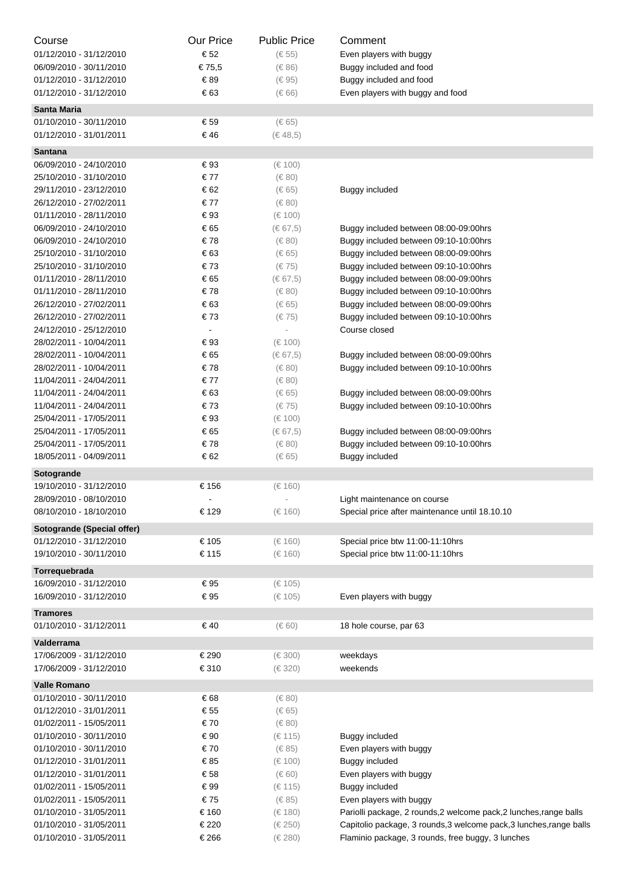| Course                     | <b>Our Price</b>         | <b>Public Price</b> | Comment                                                             |
|----------------------------|--------------------------|---------------------|---------------------------------------------------------------------|
| 01/12/2010 - 31/12/2010    | € 52                     | $(\in 55)$          | Even players with buggy                                             |
| 06/09/2010 - 30/11/2010    | €75,5                    | $(\in 86)$          | Buggy included and food                                             |
| 01/12/2010 - 31/12/2010    | €89                      | $(\in 95)$          | Buggy included and food                                             |
| 01/12/2010 - 31/12/2010    | € 63                     | $(\in 66)$          | Even players with buggy and food                                    |
| <b>Santa Maria</b>         |                          |                     |                                                                     |
| 01/10/2010 - 30/11/2010    | € 59                     | $(\in 65)$          |                                                                     |
| 01/12/2010 - 31/01/2011    | € 46                     | (€ 48,5)            |                                                                     |
|                            |                          |                     |                                                                     |
| <b>Santana</b>             |                          |                     |                                                                     |
| 06/09/2010 - 24/10/2010    | € 93                     | (€ 100)             |                                                                     |
| 25/10/2010 - 31/10/2010    | € 77                     | $(\in 80)$          |                                                                     |
| 29/11/2010 - 23/12/2010    | € 62                     | $(\in 65)$          | Buggy included                                                      |
| 26/12/2010 - 27/02/2011    | € 77                     | $(\in 80)$          |                                                                     |
| 01/11/2010 - 28/11/2010    | € 93                     | (€ 100)             |                                                                     |
| 06/09/2010 - 24/10/2010    | € 65                     | $(\in 67, 5)$       | Buggy included between 08:00-09:00hrs                               |
| 06/09/2010 - 24/10/2010    | €78                      | $(\in 80)$          | Buggy included between 09:10-10:00hrs                               |
| 25/10/2010 - 31/10/2010    | € 63                     | $(\in 65)$          | Buggy included between 08:00-09:00hrs                               |
| 25/10/2010 - 31/10/2010    | €73                      | $(\in 75)$          | Buggy included between 09:10-10:00hrs                               |
| 01/11/2010 - 28/11/2010    | € 65                     | $(\in 67, 5)$       | Buggy included between 08:00-09:00hrs                               |
| 01/11/2010 - 28/11/2010    | €78                      | $(\in 80)$          | Buggy included between 09:10-10:00hrs                               |
| 26/12/2010 - 27/02/2011    | € 63                     | $(\in 65)$          | Buggy included between 08:00-09:00hrs                               |
| 26/12/2010 - 27/02/2011    | €73                      | (€75)               | Buggy included between 09:10-10:00hrs                               |
| 24/12/2010 - 25/12/2010    | $\overline{\phantom{a}}$ |                     | Course closed                                                       |
| 28/02/2011 - 10/04/2011    | € 93                     | (€ 100)             |                                                                     |
| 28/02/2011 - 10/04/2011    | € 65                     | $(\in 67, 5)$       | Buggy included between 08:00-09:00hrs                               |
| 28/02/2011 - 10/04/2011    | €78                      | $(\in 80)$          | Buggy included between 09:10-10:00hrs                               |
| 11/04/2011 - 24/04/2011    | € 77                     | $(\in 80)$          |                                                                     |
| 11/04/2011 - 24/04/2011    | € 63                     | $(\in 65)$          | Buggy included between 08:00-09:00hrs                               |
| 11/04/2011 - 24/04/2011    | €73                      | $(\in 75)$          | Buggy included between 09:10-10:00hrs                               |
| 25/04/2011 - 17/05/2011    | € 93                     | (€ 100)             |                                                                     |
| 25/04/2011 - 17/05/2011    | € 65                     | $(\in 67, 5)$       | Buggy included between 08:00-09:00hrs                               |
| 25/04/2011 - 17/05/2011    | €78                      | $(\in 80)$          | Buggy included between 09:10-10:00hrs                               |
| 18/05/2011 - 04/09/2011    | € 62                     | $(\in 65)$          | Buggy included                                                      |
| Sotogrande                 |                          |                     |                                                                     |
| 19/10/2010 - 31/12/2010    | € 156                    | (€ 160)             |                                                                     |
| 28/09/2010 - 08/10/2010    |                          |                     | Light maintenance on course                                         |
| 08/10/2010 - 18/10/2010    | € 129                    | (€ 160)             | Special price after maintenance until 18.10.10                      |
| Sotogrande (Special offer) |                          |                     |                                                                     |
| 01/12/2010 - 31/12/2010    | € 105                    | (€ 160)             | Special price btw 11:00-11:10hrs                                    |
| 19/10/2010 - 30/11/2010    | € 115                    | (€ 160)             | Special price btw 11:00-11:10hrs                                    |
| Torrequebrada              |                          |                     |                                                                     |
| 16/09/2010 - 31/12/2010    | € 95                     | (€ 105)             |                                                                     |
| 16/09/2010 - 31/12/2010    | € 95                     | $(\in 105)$         | Even players with buggy                                             |
|                            |                          |                     |                                                                     |
| <b>Tramores</b>            |                          |                     |                                                                     |
| 01/10/2010 - 31/12/2011    | €40                      | $(\in 60)$          | 18 hole course, par 63                                              |
| Valderrama                 |                          |                     |                                                                     |
| 17/06/2009 - 31/12/2010    | € 290                    | (€ 300)             | weekdays                                                            |
| 17/06/2009 - 31/12/2010    | € 310                    | (€ 320)             | weekends                                                            |
| <b>Valle Romano</b>        |                          |                     |                                                                     |
| 01/10/2010 - 30/11/2010    | € 68                     | $(\in 80)$          |                                                                     |
| 01/12/2010 - 31/01/2011    | € 55                     | $(\in 65)$          |                                                                     |
| 01/02/2011 - 15/05/2011    | € 70                     | $(\in 80)$          |                                                                     |
| 01/10/2010 - 30/11/2010    | € 90                     | (€ 115)             | Buggy included                                                      |
| 01/10/2010 - 30/11/2010    | € 70                     | $(\in 85)$          | Even players with buggy                                             |
| 01/12/2010 - 31/01/2011    | €85                      | (€ 100)             | Buggy included                                                      |
| 01/12/2010 - 31/01/2011    | € 58                     | $(\in 60)$          | Even players with buggy                                             |
| 01/02/2011 - 15/05/2011    | € 99                     | (€ 115)             | Buggy included                                                      |
| 01/02/2011 - 15/05/2011    | €75                      | $(\in 85)$          | Even players with buggy                                             |
| 01/10/2010 - 31/05/2011    | € 160                    | (€ 180)             | Pariolli package, 2 rounds, 2 welcome pack, 2 lunches, range balls  |
| 01/10/2010 - 31/05/2011    | € 220                    | (€ 250)             | Capitolio package, 3 rounds, 3 welcome pack, 3 lunches, range balls |
| 01/10/2010 - 31/05/2011    | € 266                    | (€ 280)             | Flaminio package, 3 rounds, free buggy, 3 lunches                   |